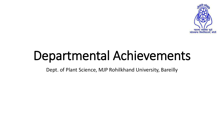

# Departmental Achievements

Dept. of Plant Science, MJP Rohilkhand University, Bareilly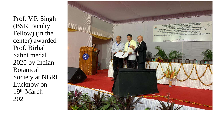Prof. V.P. Singh (BSR Faculty Fellow) (in the center) awarded Prof. Birbal Sahni medal 2020 by Indian Botanical Society at NBRI Lucknow on 19th March 2021

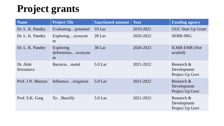## **Project grants**

| <b>Name</b>            | <b>Project Tile</b>                   | <b>Sanctioned amount</b> | <b>Year</b> | <b>Funding agency</b>                        |
|------------------------|---------------------------------------|--------------------------|-------------|----------------------------------------------|
| Dr. L. K. Pandey       | Evaluatingpotential                   | $10$ Lac                 | 2019-2021   | <b>UGC Start Up Grant</b>                    |
| Dr. L. K. Pandey       | Exploringecosyste<br>m                | $28$ Lac                 | 2020-2022   | <b>SERB-SRG</b>                              |
| Dr. L. K. Pandey       | Exploring<br>deformitiesecosyste<br>m | 38 Lac                   | 2020-2023   | <b>ICMR-EMR (Not</b><br>availed)             |
| Dr. Alok<br>Srivastava | Bacteriametal                         | 5.0 Lac                  | 2021-2022   | Research &<br>Development<br>Project Up Govt |
| Prof. J.N. Maurya      | Influenceirrigation                   | $5.0$ Lac                | 2021-2022   | Research &<br>Development<br>Project Up Govt |
| Prof. S.K. Garg        | ToBareilly                            | $5.0$ Lac                | 2021-2022   | Research &<br>Development<br>Project Up Govt |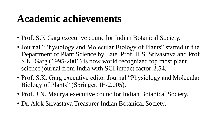#### **Academic achievements**

- Prof. S.K Garg executive councilor Indian Botanical Society.
- Journal "Physiology and Molecular Biology of Plants" started in the Department of Plant Science by Late. Prof. H.S. Srivastava and Prof. S.K. Garg (1995-2001) is now world recognized top most plant science journal from India with SCI impact factor-2.54.
- Prof. S.K. Garg executive editor Journal "Physiology and Molecular Biology of Plants" (Springer; IF-2.005).
- Prof. J.N. Maurya executive councilor Indian Botanical Society.
- Dr. Alok Srivastava Treasurer Indian Botanical Society.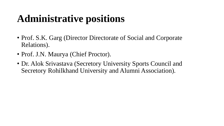# **Administrative positions**

- Prof. S.K. Garg (Director Directorate of Social and Corporate Relations).
- Prof. J.N. Maurya (Chief Proctor).
- Dr. Alok Srivastava (Secretory University Sports Council and Secretory Rohilkhand University and Alumni Association).